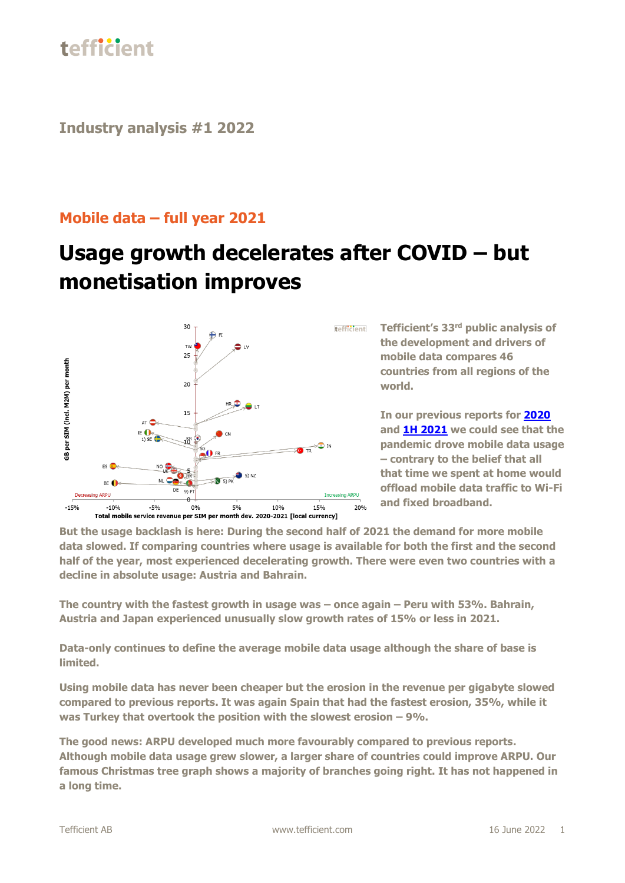

**Industry analysis #1 2022**

#### **Mobile data – full year 2021**

### **Usage growth decelerates after COVID – but monetisation improves**



**Tefficient's 33 rd public analysis of the development and drivers of mobile data compares 46 countries from all regions of the world.**

**In our previous reports for [2020](https://tefficient.com/mobile-data-usage-got-a-boost-when-we-were-immobile/) and [1H 2021](https://tefficient.com/back-to-normal-or-will-5g-push-the-envelope/) we could see that the pandemic drove mobile data usage – contrary to the belief that all that time we spent at home would offload mobile data traffic to Wi-Fi and fixed broadband.**

**But the usage backlash is here: During the second half of 2021 the demand for more mobile data slowed. If comparing countries where usage is available for both the first and the second half of the year, most experienced decelerating growth. There were even two countries with a decline in absolute usage: Austria and Bahrain.**

**The country with the fastest growth in usage was – once again – Peru with 53%. Bahrain, Austria and Japan experienced unusually slow growth rates of 15% or less in 2021.**

**Data-only continues to define the average mobile data usage although the share of base is limited.**

**Using mobile data has never been cheaper but the erosion in the revenue per gigabyte slowed compared to previous reports. It was again Spain that had the fastest erosion, 35%, while it was Turkey that overtook the position with the slowest erosion – 9%.** 

**The good news: ARPU developed much more favourably compared to previous reports. Although mobile data usage grew slower, a larger share of countries could improve ARPU. Our famous Christmas tree graph shows a majority of branches going right. It has not happened in a long time.**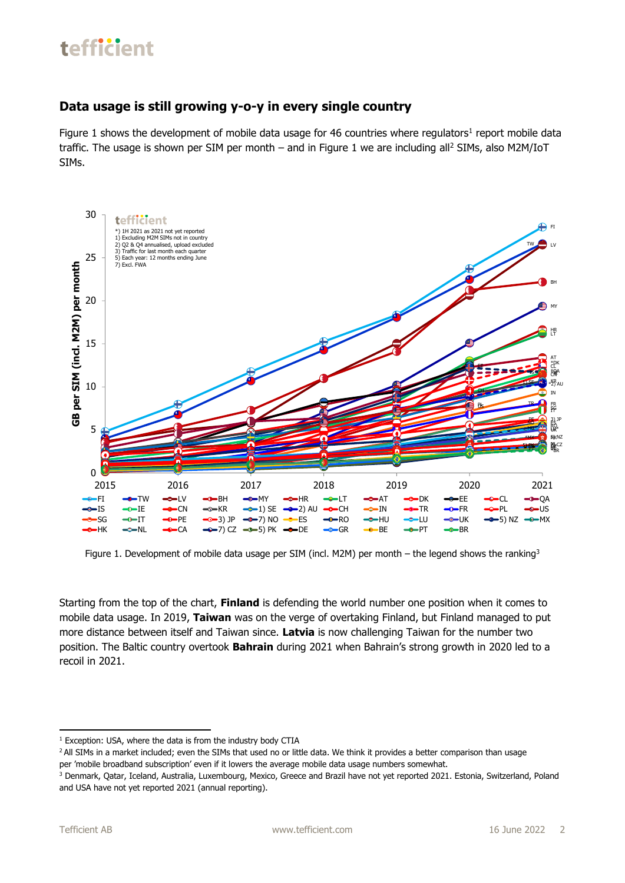#### **Data usage is still growing y-o-y in every single country**

Figure 1 shows the development of mobile data usage for 46 countries where regulators<sup>1</sup> report mobile data traffic. The usage is shown per SIM per month - and in Figure 1 we are including all<sup>2</sup> SIMs, also M2M/IoT SIMs.



Figure 1. Development of mobile data usage per SIM (incl. M2M) per month - the legend shows the ranking<sup>3</sup>

Starting from the top of the chart, **Finland** is defending the world number one position when it comes to mobile data usage. In 2019, **Taiwan** was on the verge of overtaking Finland, but Finland managed to put more distance between itself and Taiwan since. **Latvia** is now challenging Taiwan for the number two position. The Baltic country overtook **Bahrain** during 2021 when Bahrain's strong growth in 2020 led to a recoil in 2021.

 $1$  Exception: USA, where the data is from the industry body CTIA

<sup>&</sup>lt;sup>2</sup> All SIMs in a market included; even the SIMs that used no or little data. We think it provides a better comparison than usage per 'mobile broadband subscription' even if it lowers the average mobile data usage numbers somewhat.

<sup>&</sup>lt;sup>3</sup> Denmark, Qatar, Iceland, Australia, Luxembourg, Mexico, Greece and Brazil have not yet reported 2021. Estonia, Switzerland, Poland and USA have not yet reported 2021 (annual reporting).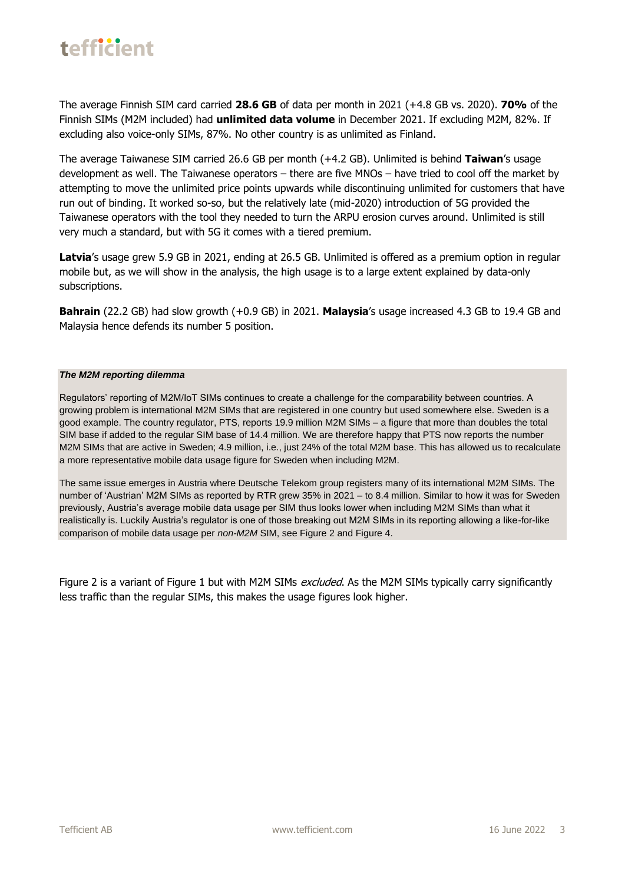

The average Finnish SIM card carried **28.6 GB** of data per month in 2021 (+4.8 GB vs. 2020). **70%** of the Finnish SIMs (M2M included) had **unlimited data volume** in December 2021. If excluding M2M, 82%. If excluding also voice-only SIMs, 87%. No other country is as unlimited as Finland.

The average Taiwanese SIM carried 26.6 GB per month (+4.2 GB). Unlimited is behind **Taiwan**'s usage development as well. The Taiwanese operators – there are five MNOs – have tried to cool off the market by attempting to move the unlimited price points upwards while discontinuing unlimited for customers that have run out of binding. It worked so-so, but the relatively late (mid-2020) introduction of 5G provided the Taiwanese operators with the tool they needed to turn the ARPU erosion curves around. Unlimited is still very much a standard, but with 5G it comes with a tiered premium.

Latvia's usage grew 5.9 GB in 2021, ending at 26.5 GB. Unlimited is offered as a premium option in regular mobile but, as we will show in the analysis, the high usage is to a large extent explained by data-only subscriptions.

**Bahrain** (22.2 GB) had slow growth (+0.9 GB) in 2021. **Malaysia**'s usage increased 4.3 GB to 19.4 GB and Malaysia hence defends its number 5 position.

#### *The M2M reporting dilemma*

Regulators' reporting of M2M/IoT SIMs continues to create a challenge for the comparability between countries. A growing problem is international M2M SIMs that are registered in one country but used somewhere else. Sweden is a good example. The country regulator, PTS, reports 19.9 million M2M SIMs – a figure that more than doubles the total SIM base if added to the regular SIM base of 14.4 million. We are therefore happy that PTS now reports the number M2M SIMs that are active in Sweden; 4.9 million, i.e., just 24% of the total M2M base. This has allowed us to recalculate a more representative mobile data usage figure for Sweden when including M2M.

The same issue emerges in Austria where Deutsche Telekom group registers many of its international M2M SIMs. The number of 'Austrian' M2M SIMs as reported by RTR grew 35% in 2021 – to 8.4 million. Similar to how it was for Sweden previously, Austria's average mobile data usage per SIM thus looks lower when including M2M SIMs than what it realistically is. Luckily Austria's regulator is one of those breaking out M2M SIMs in its reporting allowing a like-for-like comparison of mobile data usage per *non-M2M* SIM, see Figure 2 and Figure 4.

Figure 2 is a variant of Figure 1 but with M2M SIMs *excluded*. As the M2M SIMs typically carry significantly less traffic than the regular SIMs, this makes the usage figures look higher.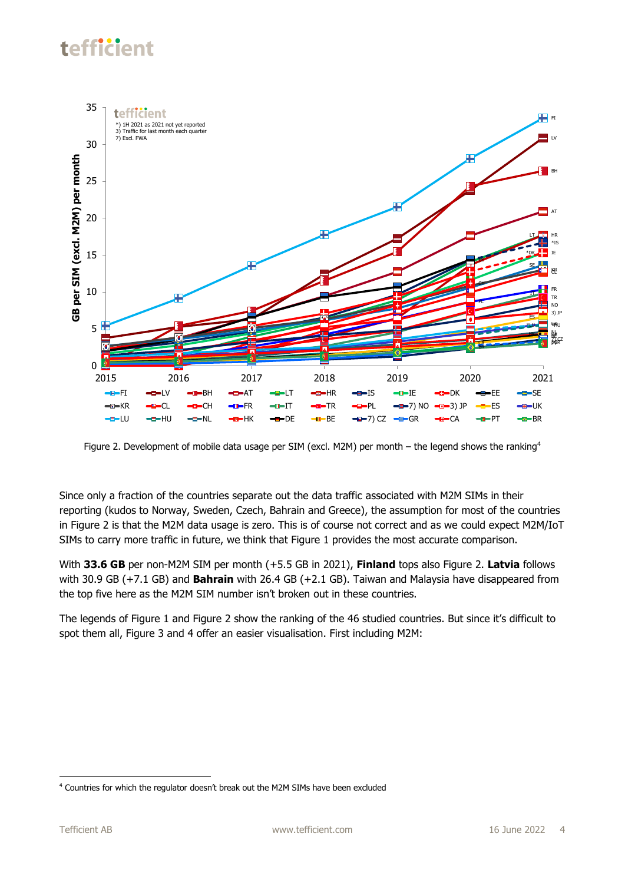

Figure 2. Development of mobile data usage per SIM (excl. M2M) per month - the legend shows the ranking<sup>4</sup>

Since only a fraction of the countries separate out the data traffic associated with M2M SIMs in their reporting (kudos to Norway, Sweden, Czech, Bahrain and Greece), the assumption for most of the countries in Figure 2 is that the M2M data usage is zero. This is of course not correct and as we could expect M2M/IoT SIMs to carry more traffic in future, we think that Figure 1 provides the most accurate comparison.

With **33.6 GB** per non-M2M SIM per month (+5.5 GB in 2021), **Finland** tops also Figure 2. **Latvia** follows with 30.9 GB (+7.1 GB) and **Bahrain** with 26.4 GB (+2.1 GB). Taiwan and Malaysia have disappeared from the top five here as the M2M SIM number isn't broken out in these countries.

The legends of Figure 1 and Figure 2 show the ranking of the 46 studied countries. But since it's difficult to spot them all, Figure 3 and 4 offer an easier visualisation. First including M2M:

<sup>4</sup> Countries for which the regulator doesn't break out the M2M SIMs have been excluded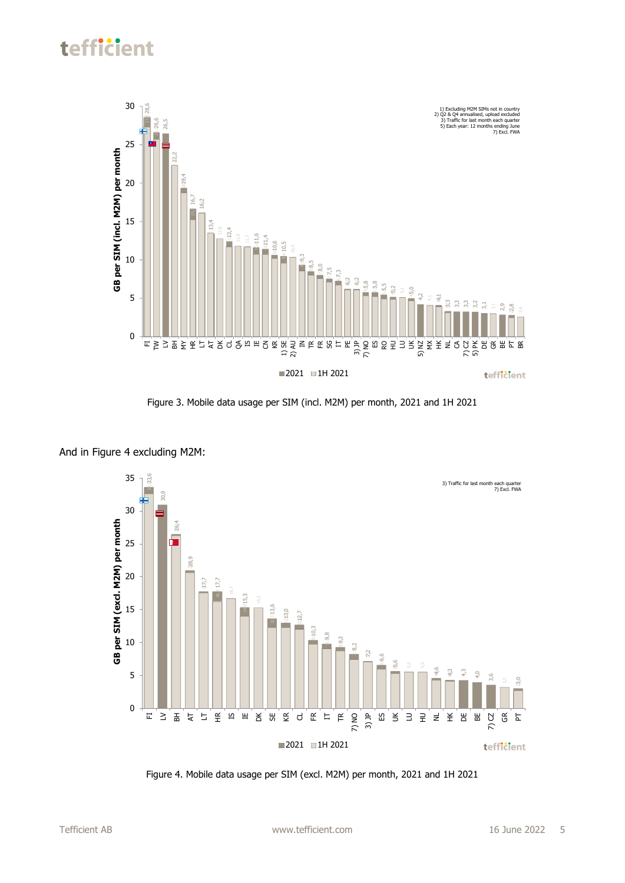

Figure 3. Mobile data usage per SIM (incl. M2M) per month, 2021 and 1H 2021



And in Figure 4 excluding M2M: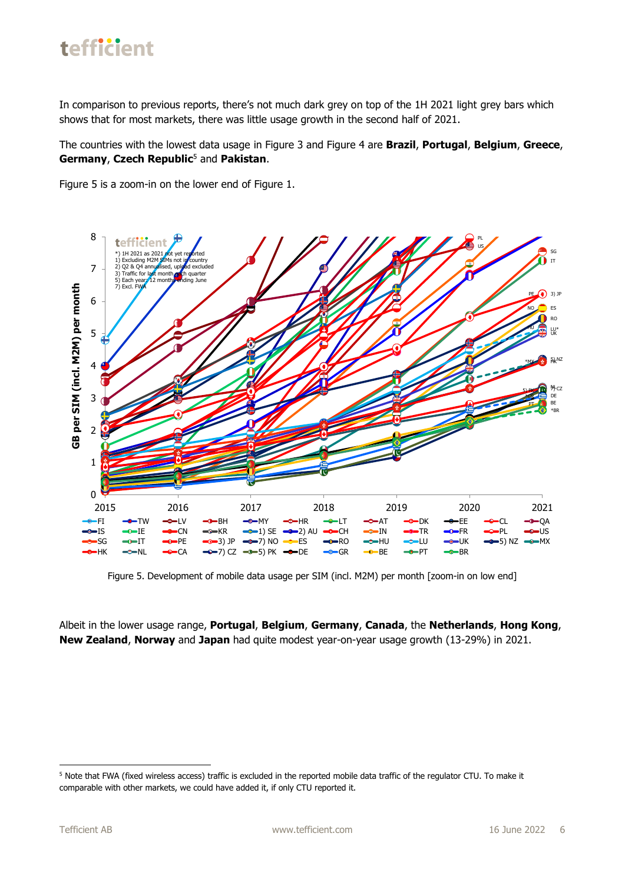

In comparison to previous reports, there's not much dark grey on top of the 1H 2021 light grey bars which shows that for most markets, there was little usage growth in the second half of 2021.

The countries with the lowest data usage in Figure 3 and Figure 4 are **Brazil**, **Portugal**, **Belgium**, **Greece**, **Germany**, **Czech Republic**<sup>5</sup> and **Pakistan**.

Figure 5 is a zoom-in on the lower end of Figure 1.



Figure 5. Development of mobile data usage per SIM (incl. M2M) per month [zoom-in on low end]

Albeit in the lower usage range, **Portugal**, **Belgium**, **Germany**, **Canada**, the **Netherlands**, **Hong Kong**, **New Zealand**, **Norway** and **Japan** had quite modest year-on-year usage growth (13-29%) in 2021.

<sup>5</sup> Note that FWA (fixed wireless access) traffic is excluded in the reported mobile data traffic of the regulator CTU. To make it comparable with other markets, we could have added it, if only CTU reported it.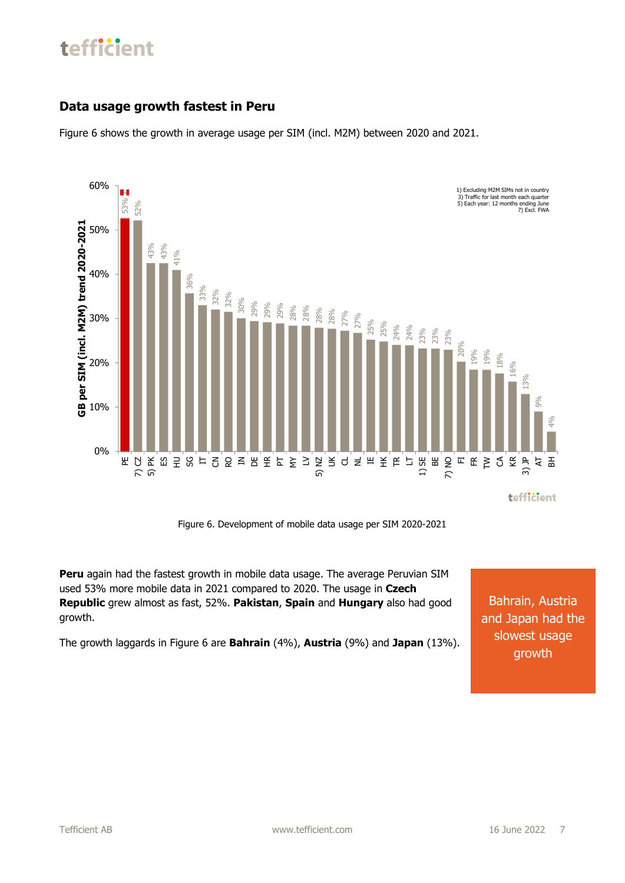#### **Data usage growth fastest in Peru**

Figure 6 shows the growth in average usage per SIM (incl. M2M) between 2020 and 2021.



Figure 6. Development of mobile data usage per SIM 2020-2021

**Peru** again had the fastest growth in mobile data usage. The average Peruvian SIM used 53% more mobile data in 2021 compared to 2020. The usage in **Czech Republic** grew almost as fast, 52%. **Pakistan**, **Spain** and **Hungary** also had good growth.

Bahrain, Austria and Japan had the slowest usage growth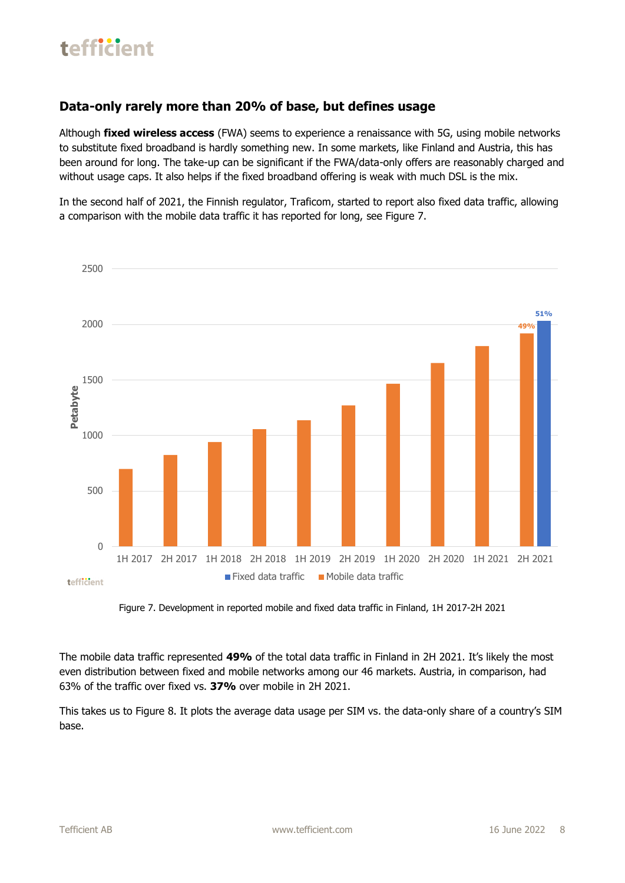#### **Data-only rarely more than 20% of base, but defines usage**

Although **fixed wireless access** (FWA) seems to experience a renaissance with 5G, using mobile networks to substitute fixed broadband is hardly something new. In some markets, like Finland and Austria, this has been around for long. The take-up can be significant if the FWA/data-only offers are reasonably charged and without usage caps. It also helps if the fixed broadband offering is weak with much DSL is the mix.

In the second half of 2021, the Finnish regulator, Traficom, started to report also fixed data traffic, allowing a comparison with the mobile data traffic it has reported for long, see Figure 7.



Figure 7. Development in reported mobile and fixed data traffic in Finland, 1H 2017-2H 2021

The mobile data traffic represented **49%** of the total data traffic in Finland in 2H 2021. It's likely the most even distribution between fixed and mobile networks among our 46 markets. Austria, in comparison, had 63% of the traffic over fixed vs. **37%** over mobile in 2H 2021.

This takes us to Figure 8. It plots the average data usage per SIM vs. the data-only share of a country's SIM base.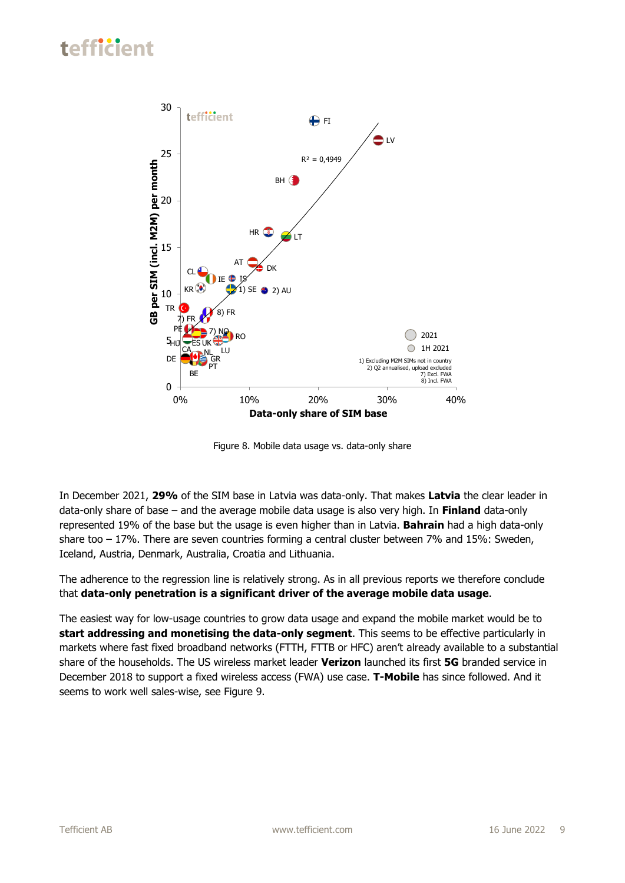

Figure 8. Mobile data usage vs. data-only share

In December 2021, **29%** of the SIM base in Latvia was data-only. That makes **Latvia** the clear leader in data-only share of base – and the average mobile data usage is also very high. In **Finland** data-only represented 19% of the base but the usage is even higher than in Latvia. **Bahrain** had a high data-only share too – 17%. There are seven countries forming a central cluster between 7% and 15%: Sweden, Iceland, Austria, Denmark, Australia, Croatia and Lithuania.

The adherence to the regression line is relatively strong. As in all previous reports we therefore conclude that **data-only penetration is a significant driver of the average mobile data usage**.

The easiest way for low-usage countries to grow data usage and expand the mobile market would be to **start addressing and monetising the data-only segment**. This seems to be effective particularly in markets where fast fixed broadband networks (FTTH, FTTB or HFC) aren't already available to a substantial share of the households. The US wireless market leader **Verizon** launched its first **5G** branded service in December 2018 to support a fixed wireless access (FWA) use case. **T-Mobile** has since followed. And it seems to work well sales-wise, see Figure 9.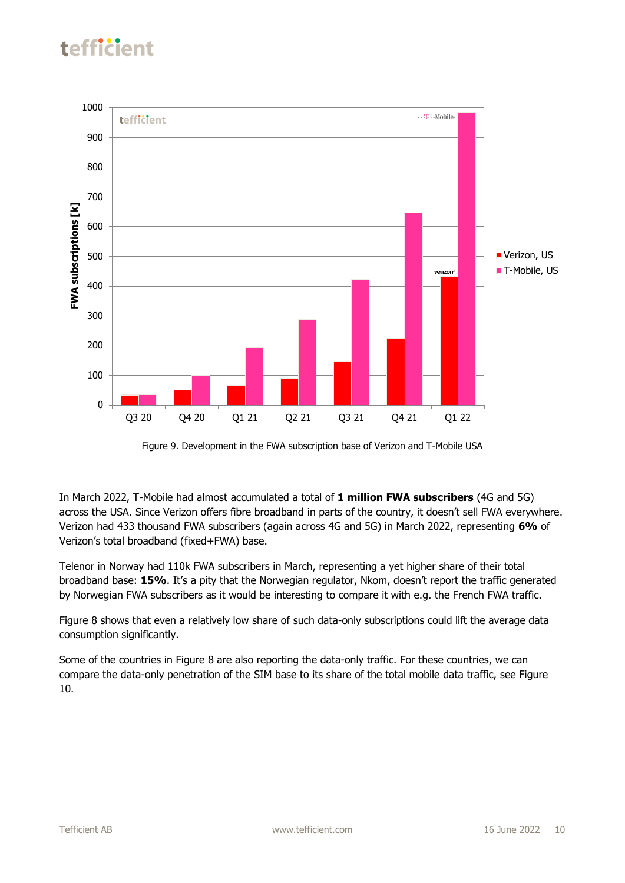



In March 2022, T-Mobile had almost accumulated a total of **1 million FWA subscribers** (4G and 5G) across the USA. Since Verizon offers fibre broadband in parts of the country, it doesn't sell FWA everywhere. Verizon had 433 thousand FWA subscribers (again across 4G and 5G) in March 2022, representing **6%** of Verizon's total broadband (fixed+FWA) base.

Telenor in Norway had 110k FWA subscribers in March, representing a yet higher share of their total broadband base: **15%**. It's a pity that the Norwegian regulator, Nkom, doesn't report the traffic generated by Norwegian FWA subscribers as it would be interesting to compare it with e.g. the French FWA traffic.

Figure 8 shows that even a relatively low share of such data-only subscriptions could lift the average data consumption significantly.

Some of the countries in Figure 8 are also reporting the data-only traffic. For these countries, we can compare the data-only penetration of the SIM base to its share of the total mobile data traffic, see Figure 10.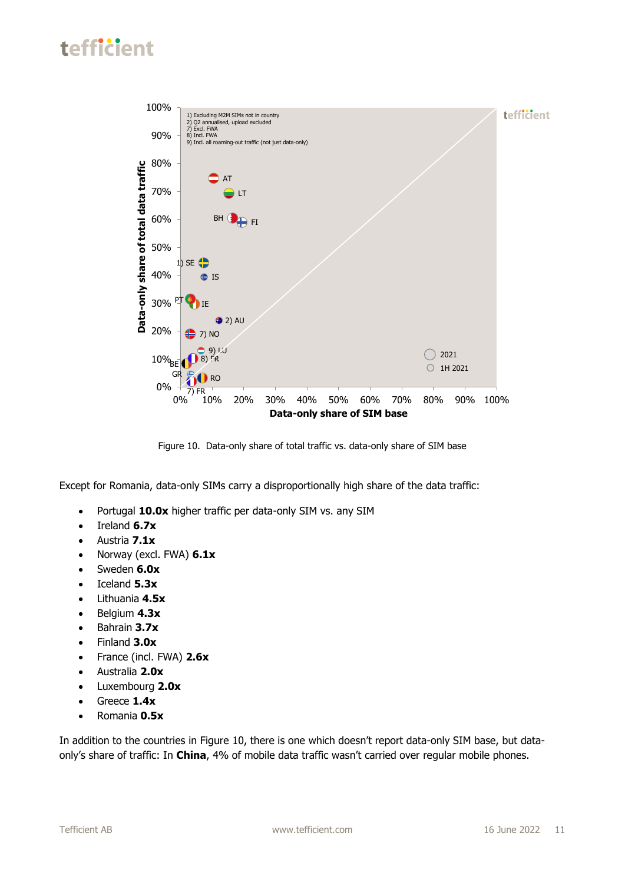

Figure 10. Data-only share of total traffic vs. data-only share of SIM base

Except for Romania, data-only SIMs carry a disproportionally high share of the data traffic:

- Portugal **10.0x** higher traffic per data-only SIM vs. any SIM
- Ireland **6.7x**
- Austria **7.1x**
- Norway (excl. FWA) **6.1x**
- Sweden **6.0x**
- Iceland **5.3x**
- Lithuania **4.5x**
- Belgium **4.3x**
- Bahrain **3.7x**
- Finland **3.0x**
- France (incl. FWA) **2.6x**
- Australia **2.0x**
- Luxembourg **2.0x**
- Greece **1.4x**
- Romania **0.5x**

In addition to the countries in Figure 10, there is one which doesn't report data-only SIM base, but dataonly's share of traffic: In **China**, 4% of mobile data traffic wasn't carried over regular mobile phones.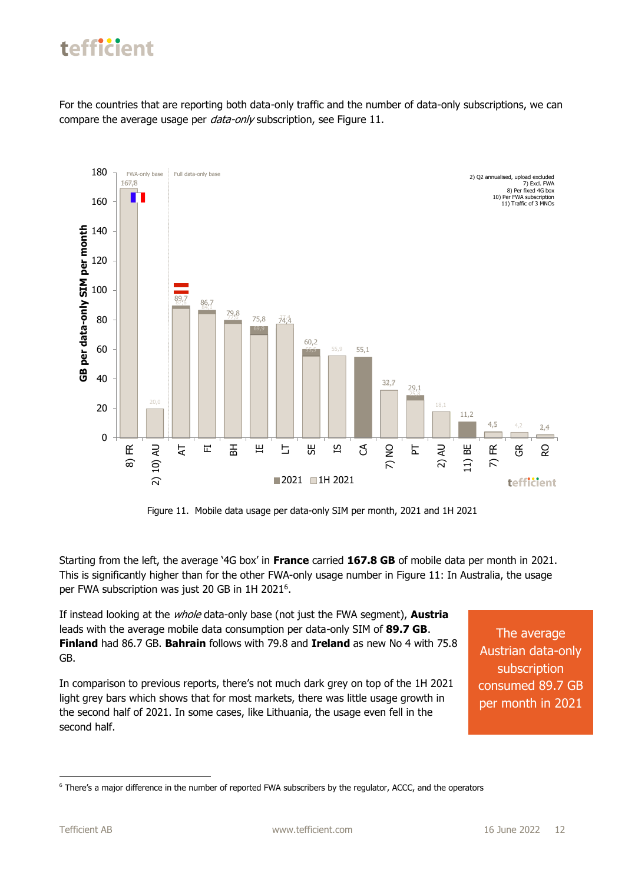For the countries that are reporting both data-only traffic and the number of data-only subscriptions, we can compare the average usage per *data-only* subscription, see Figure 11.



Figure 11. Mobile data usage per data-only SIM per month, 2021 and 1H 2021

Starting from the left, the average '4G box' in **France** carried **167.8 GB** of mobile data per month in 2021. This is significantly higher than for the other FWA-only usage number in Figure 11: In Australia, the usage per FWA subscription was just 20 GB in 1H 2021<sup>6</sup>.

If instead looking at the whole data-only base (not just the FWA segment), **Austria** leads with the average mobile data consumption per data-only SIM of **89.7 GB**. **Finland** had 86.7 GB. **Bahrain** follows with 79.8 and **Ireland** as new No 4 with 75.8 GB.

In comparison to previous reports, there's not much dark grey on top of the 1H 2021 light grey bars which shows that for most markets, there was little usage growth in the second half of 2021. In some cases, like Lithuania, the usage even fell in the second half.

The average Austrian data-only subscription consumed 89.7 GB per month in 2021

<sup>6</sup> There's a major difference in the number of reported FWA subscribers by the regulator, ACCC, and the operators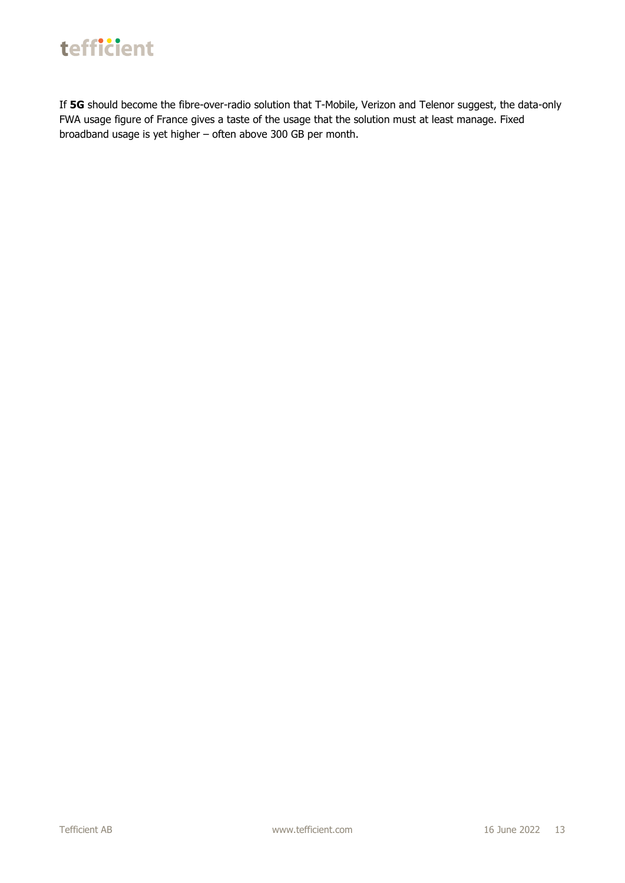

If **5G** should become the fibre-over-radio solution that T-Mobile, Verizon and Telenor suggest, the data-only FWA usage figure of France gives a taste of the usage that the solution must at least manage. Fixed broadband usage is yet higher – often above 300 GB per month.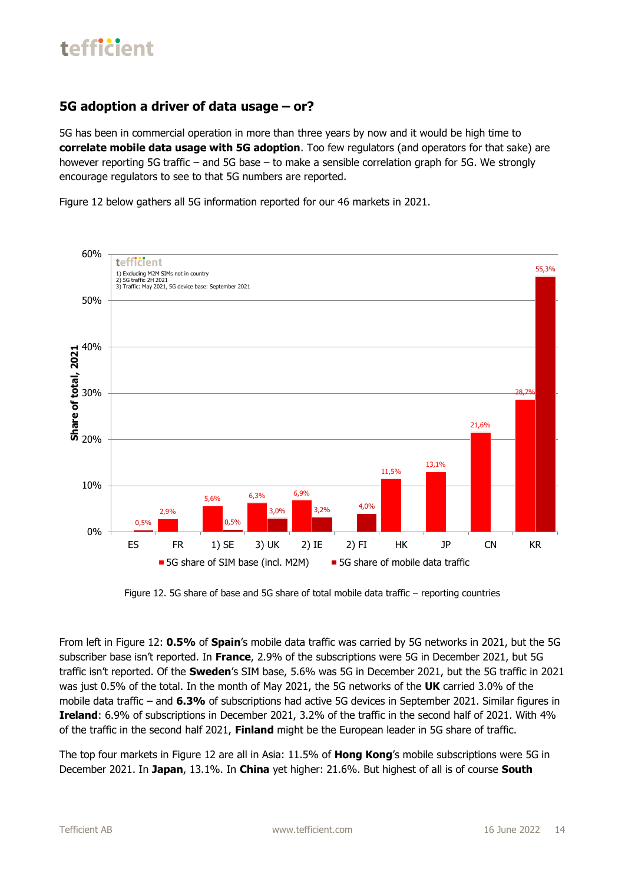#### **5G adoption a driver of data usage – or?**

5G has been in commercial operation in more than three years by now and it would be high time to **correlate mobile data usage with 5G adoption**. Too few regulators (and operators for that sake) are however reporting 5G traffic – and 5G base – to make a sensible correlation graph for 5G. We strongly encourage regulators to see to that 5G numbers are reported.

Figure 12 below gathers all 5G information reported for our 46 markets in 2021.



Figure 12. 5G share of base and 5G share of total mobile data traffic – reporting countries

From left in Figure 12: **0.5%** of **Spain**'s mobile data traffic was carried by 5G networks in 2021, but the 5G subscriber base isn't reported. In **France**, 2.9% of the subscriptions were 5G in December 2021, but 5G traffic isn't reported. Of the **Sweden**'s SIM base, 5.6% was 5G in December 2021, but the 5G traffic in 2021 was just 0.5% of the total. In the month of May 2021, the 5G networks of the **UK** carried 3.0% of the mobile data traffic – and **6.3%** of subscriptions had active 5G devices in September 2021. Similar figures in **Ireland**: 6.9% of subscriptions in December 2021, 3.2% of the traffic in the second half of 2021. With 4% of the traffic in the second half 2021, **Finland** might be the European leader in 5G share of traffic.

The top four markets in Figure 12 are all in Asia: 11.5% of **Hong Kong**'s mobile subscriptions were 5G in December 2021. In **Japan**, 13.1%. In **China** yet higher: 21.6%. But highest of all is of course **South**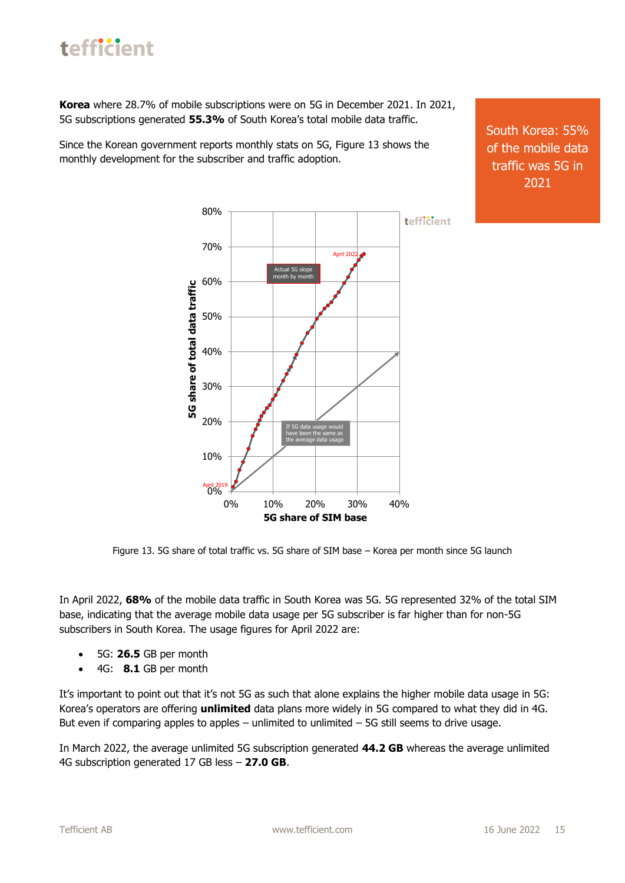**Korea** where 28.7% of mobile subscriptions were on 5G in December 2021. In 2021, 5G subscriptions generated **55.3%** of South Korea's total mobile data traffic.

Since the Korean government reports monthly stats on 5G, Figure 13 shows the monthly development for the subscriber and traffic adoption.

South Korea: 55% of the mobile data traffic was 5G in 2021



Figure 13. 5G share of total traffic vs. 5G share of SIM base – Korea per month since 5G launch

In April 2022, **68%** of the mobile data traffic in South Korea was 5G. 5G represented 32% of the total SIM base, indicating that the average mobile data usage per 5G subscriber is far higher than for non-5G subscribers in South Korea. The usage figures for April 2022 are:

- 5G: **26.5** GB per month
- 4G: **8.1** GB per month

It's important to point out that it's not 5G as such that alone explains the higher mobile data usage in 5G: Korea's operators are offering **unlimited** data plans more widely in 5G compared to what they did in 4G. But even if comparing apples to apples – unlimited to unlimited  $-5G$  still seems to drive usage.

In March 2022, the average unlimited 5G subscription generated **44.2 GB** whereas the average unlimited 4G subscription generated 17 GB less – **27.0 GB**.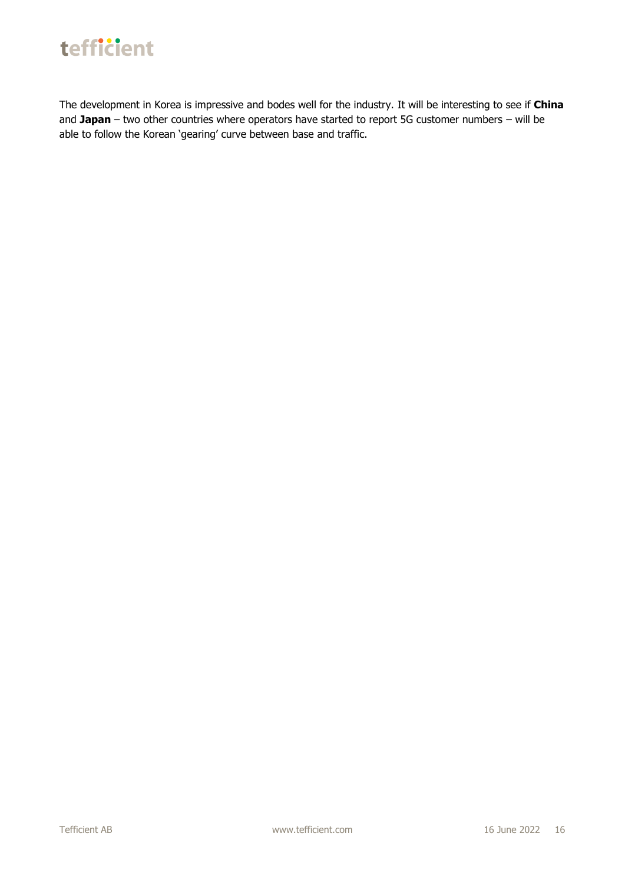

The development in Korea is impressive and bodes well for the industry. It will be interesting to see if **China** and **Japan** – two other countries where operators have started to report 5G customer numbers – will be able to follow the Korean 'gearing' curve between base and traffic.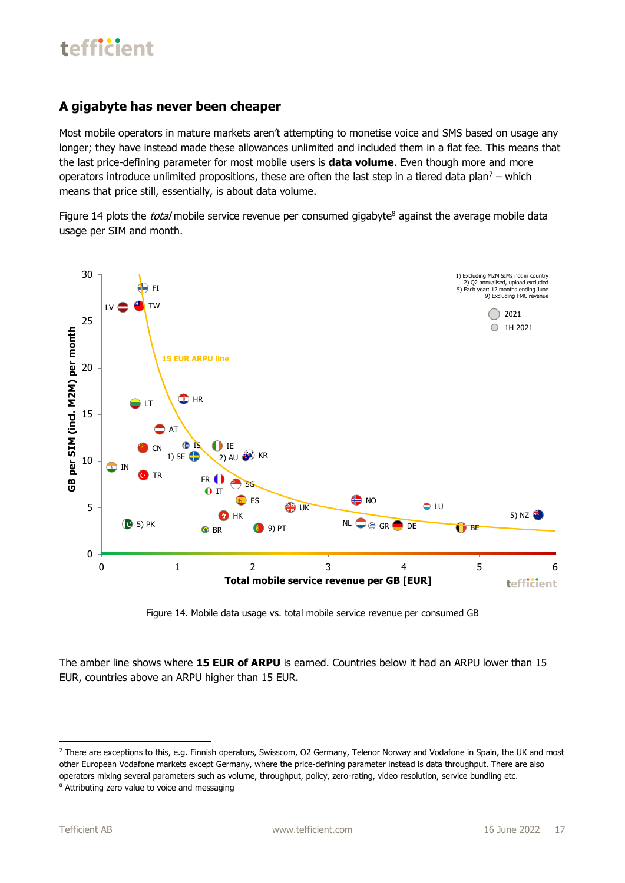#### **A gigabyte has never been cheaper**

Most mobile operators in mature markets aren't attempting to monetise voice and SMS based on usage any longer; they have instead made these allowances unlimited and included them in a flat fee. This means that the last price-defining parameter for most mobile users is **data volume**. Even though more and more operators introduce unlimited propositions, these are often the last step in a tiered data plan<sup>7</sup> – which means that price still, essentially, is about data volume.

Figure 14 plots the *total* mobile service revenue per consumed gigabyte<sup>8</sup> against the average mobile data usage per SIM and month.



Figure 14. Mobile data usage vs. total mobile service revenue per consumed GB

The amber line shows where **15 EUR of ARPU** is earned. Countries below it had an ARPU lower than 15 EUR, countries above an ARPU higher than 15 EUR.

<sup>&</sup>lt;sup>7</sup> There are exceptions to this, e.g. Finnish operators, Swisscom, O2 Germany, Telenor Norway and Vodafone in Spain, the UK and most other European Vodafone markets except Germany, where the price-defining parameter instead is data throughput. There are also operators mixing several parameters such as volume, throughput, policy, zero-rating, video resolution, service bundling etc.

<sup>&</sup>lt;sup>8</sup> Attributing zero value to voice and messaging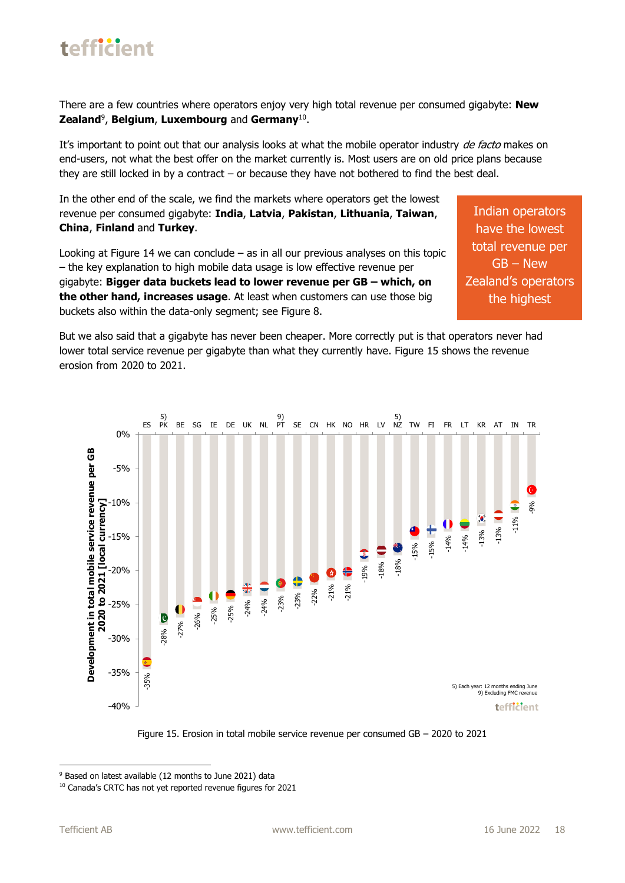

There are a few countries where operators enjoy very high total revenue per consumed gigabyte: **New Zealand**<sup>9</sup> , **Belgium**, **Luxembourg** and **Germany**<sup>10</sup> .

It's important to point out that our analysis looks at what the mobile operator industry de facto makes on end-users, not what the best offer on the market currently is. Most users are on old price plans because they are still locked in by a contract – or because they have not bothered to find the best deal.

In the other end of the scale, we find the markets where operators get the lowest revenue per consumed gigabyte: **India**, **Latvia**, **Pakistan**, **Lithuania**, **Taiwan**, **China**, **Finland** and **Turkey**.

Looking at Figure 14 we can conclude – as in all our previous analyses on this topic – the key explanation to high mobile data usage is low effective revenue per gigabyte: **Bigger data buckets lead to lower revenue per GB – which, on the other hand, increases usage**. At least when customers can use those big buckets also within the data-only segment; see Figure 8.

Indian operators have the lowest total revenue per GB – New Zealand's operators the highest

But we also said that a gigabyte has never been cheaper. More correctly put is that operators never had lower total service revenue per gigabyte than what they currently have. Figure 15 shows the revenue erosion from 2020 to 2021.





<sup>&</sup>lt;sup>9</sup> Based on latest available (12 months to June 2021) data

<sup>10</sup> Canada's CRTC has not yet reported revenue figures for 2021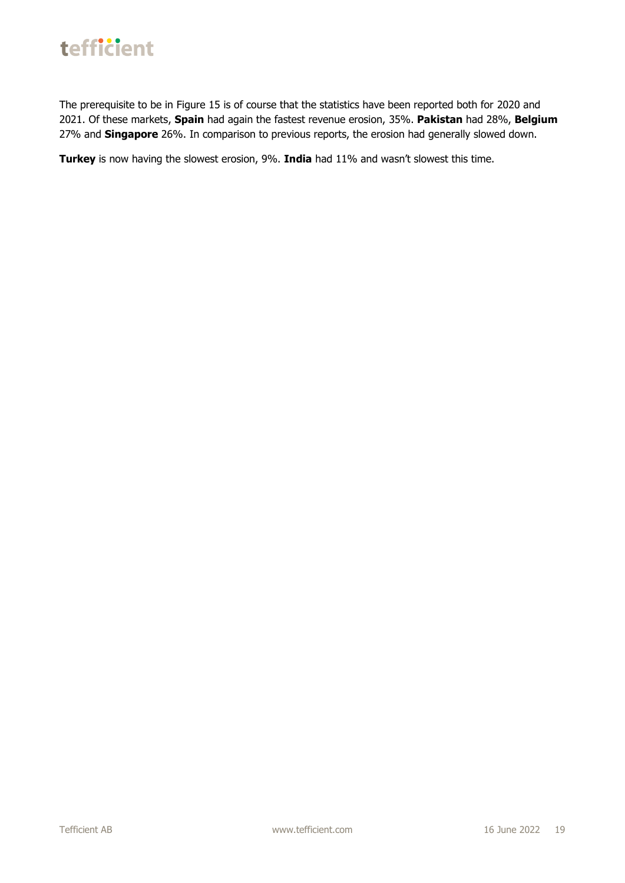

The prerequisite to be in Figure 15 is of course that the statistics have been reported both for 2020 and 2021. Of these markets, **Spain** had again the fastest revenue erosion, 35%. **Pakistan** had 28%, **Belgium** 27% and **Singapore** 26%. In comparison to previous reports, the erosion had generally slowed down.

**Turkey** is now having the slowest erosion, 9%. **India** had 11% and wasn't slowest this time.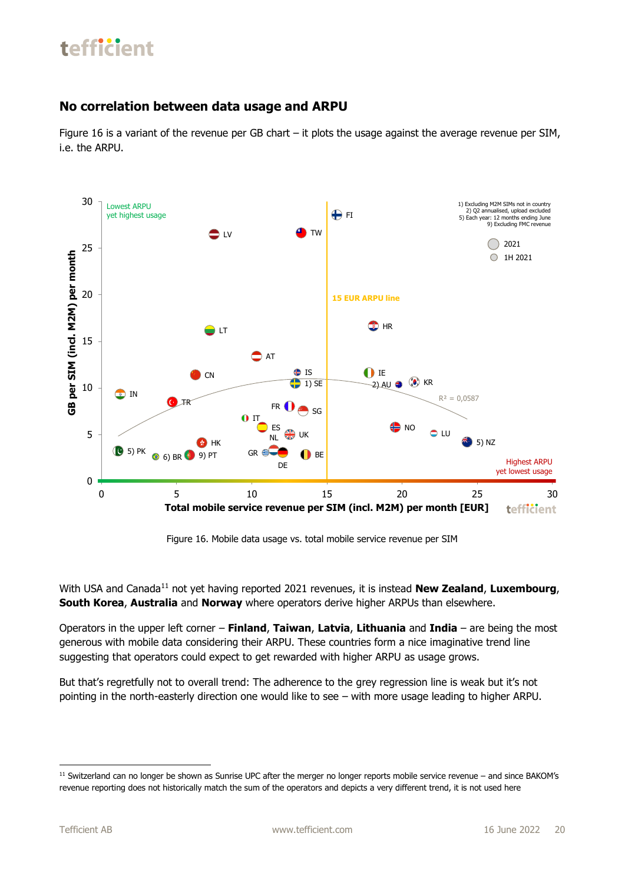#### **No correlation between data usage and ARPU**

Figure 16 is a variant of the revenue per GB chart – it plots the usage against the average revenue per SIM, i.e. the ARPU.



Figure 16. Mobile data usage vs. total mobile service revenue per SIM

With USA and Canada<sup>11</sup> not yet having reported 2021 revenues, it is instead **New Zealand**, **Luxembourg**, **South Korea**, **Australia** and **Norway** where operators derive higher ARPUs than elsewhere.

Operators in the upper left corner – **Finland**, **Taiwan**, **Latvia**, **Lithuania** and **India** – are being the most generous with mobile data considering their ARPU. These countries form a nice imaginative trend line suggesting that operators could expect to get rewarded with higher ARPU as usage grows.

But that's regretfully not to overall trend: The adherence to the grey regression line is weak but it's not pointing in the north-easterly direction one would like to see – with more usage leading to higher ARPU.

<sup>&</sup>lt;sup>11</sup> Switzerland can no longer be shown as Sunrise UPC after the merger no longer reports mobile service revenue – and since BAKOM's revenue reporting does not historically match the sum of the operators and depicts a very different trend, it is not used here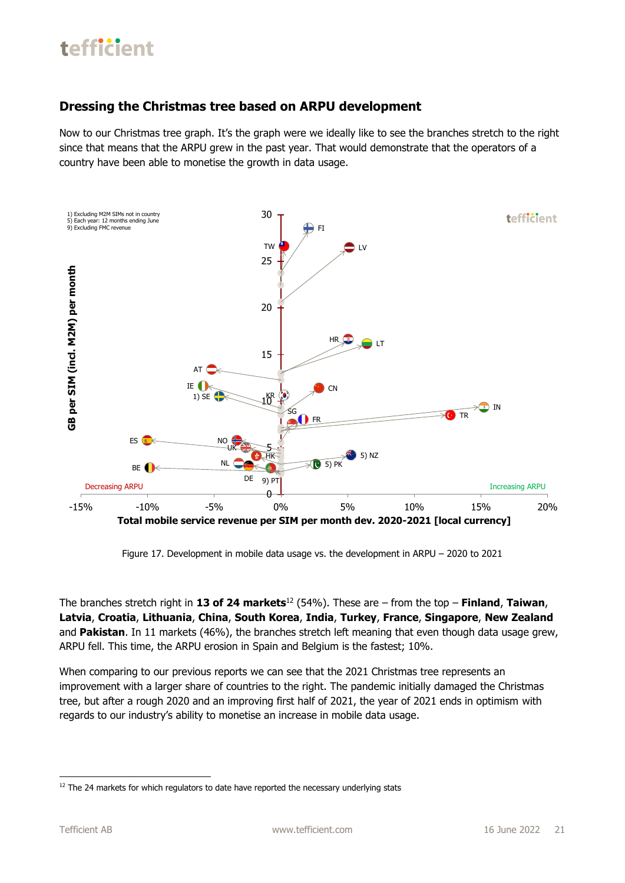#### **Dressing the Christmas tree based on ARPU development**

Now to our Christmas tree graph. It's the graph were we ideally like to see the branches stretch to the right since that means that the ARPU grew in the past year. That would demonstrate that the operators of a country have been able to monetise the growth in data usage.



Figure 17. Development in mobile data usage vs. the development in ARPU – 2020 to 2021

The branches stretch right in **13 of 24 markets**<sup>12</sup> (54%). These are – from the top – **Finland**, **Taiwan**, **Latvia**, **Croatia**, **Lithuania**, **China**, **South Korea**, **India**, **Turkey**, **France**, **Singapore**, **New Zealand** and **Pakistan**. In 11 markets (46%), the branches stretch left meaning that even though data usage grew, ARPU fell. This time, the ARPU erosion in Spain and Belgium is the fastest; 10%.

When comparing to our previous reports we can see that the 2021 Christmas tree represents an improvement with a larger share of countries to the right. The pandemic initially damaged the Christmas tree, but after a rough 2020 and an improving first half of 2021, the year of 2021 ends in optimism with regards to our industry's ability to monetise an increase in mobile data usage.

<sup>&</sup>lt;sup>12</sup> The 24 markets for which regulators to date have reported the necessary underlying stats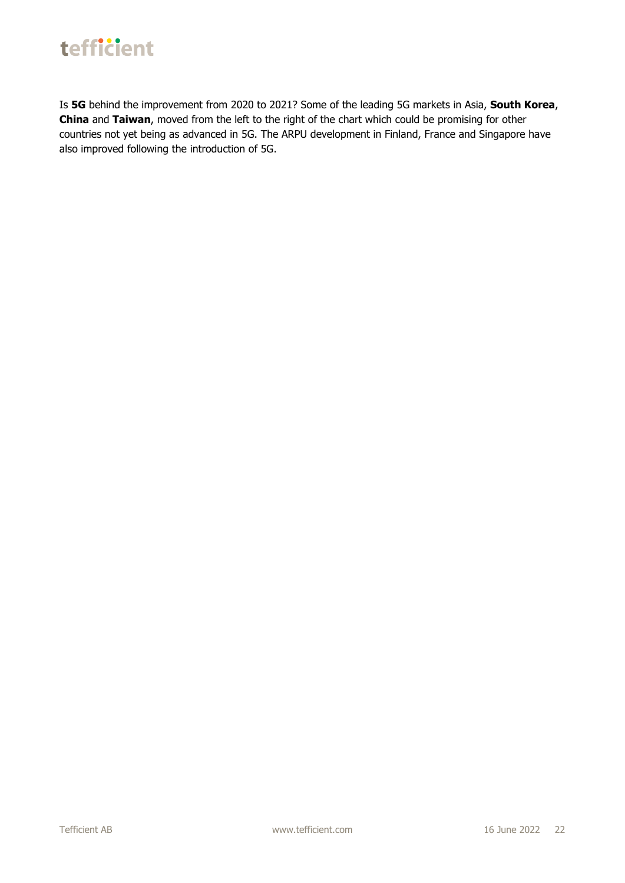Is **5G** behind the improvement from 2020 to 2021? Some of the leading 5G markets in Asia, **South Korea**, **China** and **Taiwan**, moved from the left to the right of the chart which could be promising for other countries not yet being as advanced in 5G. The ARPU development in Finland, France and Singapore have also improved following the introduction of 5G.